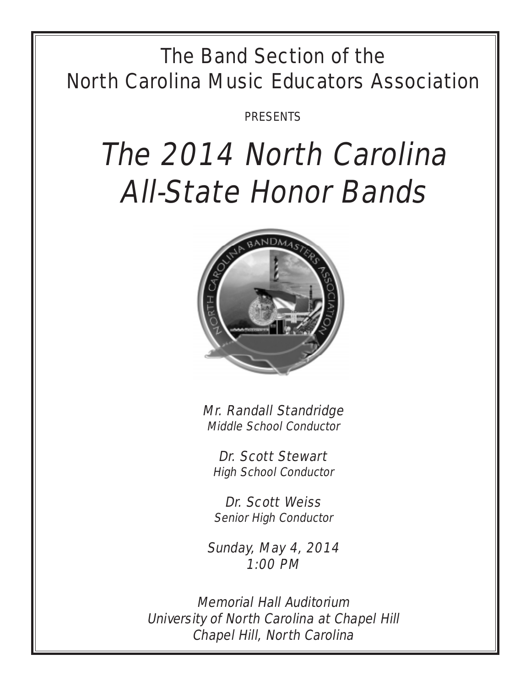## The Band Section of the North Carolina Music Educators Association

PRESENTS

# The 2014 North Carolina All-State Honor Bands



Mr. Randall Standridge Middle School Conductor

Dr. Scott Stewart High School Conductor

Dr. Scott Weiss Senior High Conductor

Sunday, May 4, 2014 1:00 PM

Memorial Hall Auditorium University of North Carolina at Chapel Hill Chapel Hill, North Carolina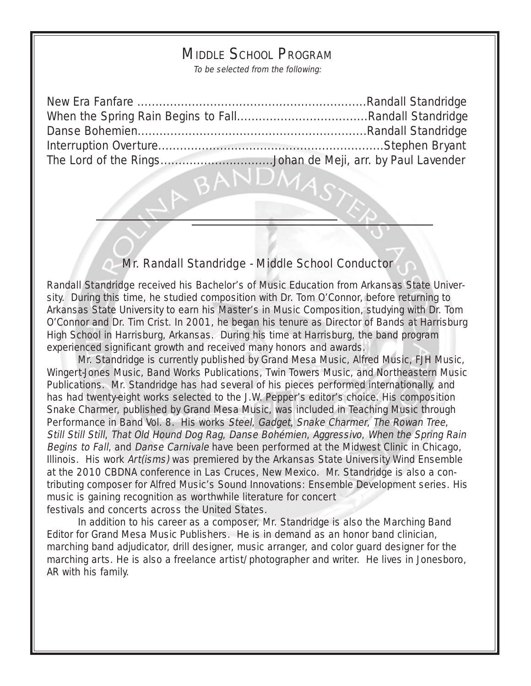## MIDDLE SCHOOL PROGRAM

To be selected from the following:

| The Lord of the RingsJohan de Meji, arr. by Paul Lavender |  |
|-----------------------------------------------------------|--|

4.

### Mr. Randall Standridge - Middle School Conductor

Randall Standridge received his Bachelor's of Music Education from Arkansas State University. During this time, he studied composition with Dr. Tom O'Connor, before returning to Arkansas State University to earn his Master's in Music Composition, studying with Dr. Tom O'Connor and Dr. Tim Crist. In 2001, he began his tenure as Director of Bands at Harrisburg High School in Harrisburg, Arkansas. During his time at Harrisburg, the band program experienced significant growth and received many honors and awards.

Mr. Standridge is currently published by Grand Mesa Music, Alfred Music, FJH Music, Wingert-Jones Music, Band Works Publications, Twin Towers Music, and Northeastern Music Publications. Mr. Standridge has had several of his pieces performed internationally, and has had twenty-eight works selected to the J.W. Pepper's editor's choice. His composition Snake Charmer, published by Grand Mesa Music, was included in Teaching Music through Performance in Band Vol. 8. His works Steel, Gadget, Snake Charmer, The Rowan Tree, Still Still Still, That Old Hound Dog Rag, Danse Bohémien, Aggressivo, When the Spring Rain Begins to Fall, and Danse Carnivale have been performed at the Midwest Clinic in Chicago, Illinois. His work Art(isms) was premiered by the Arkansas State University Wind Ensemble at the 2010 CBDNA conference in Las Cruces, New Mexico. Mr. Standridge is also a contributing composer for Alfred Music's Sound Innovations: Ensemble Development series. His music is gaining recognition as worthwhile literature for concert festivals and concerts across the United States.

In addition to his career as a composer, Mr. Standridge is also the Marching Band Editor for Grand Mesa Music Publishers. He is in demand as an honor band clinician, marching band adjudicator, drill designer, music arranger, and color guard designer for the marching arts. He is also a freelance artist/photographer and writer. He lives in Jonesboro, AR with his family.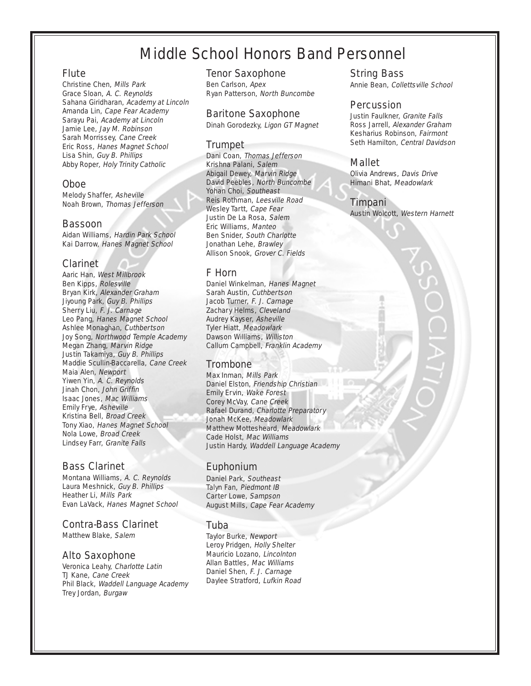## Middle School Honors Band Personnel

#### Flute

Christine Chen, Mills Park Grace Sloan, A. C. Reynolds Sahana Giridharan, Academy at Lincoln Amanda Lin, Cape Fear Academy Sarayu Pai, Academy at Lincoln Jamie Lee, Jay M. Robinson Sarah Morrissey, Cane Creek Eric Ross, Hanes Magnet School Lisa Shin, Guy B. Phillips Abby Roper, Holy Trinity Catholic

#### Oboe

Melody Shaffer, Asheville Noah Brown, Thomas Jefferson

#### Bassoon

Aidan Williams, Hardin Park School Kai Darrow, Hanes Magnet School

#### Clarinet

Aaric Han, West Millbrook Ben Kipps, Rolesville Bryan Kirk, Alexander Graham Jiyoung Park, Guy B. Phillips Sherry Liu, F. J. Carnage Leo Pang, Hanes Magnet School Ashlee Monaghan, Cuthbertson Joy Song, Northwood Temple Academy Megan Zhang, Marvin Ridge Justin Takamiya, Guy B. Phillips Maddie Scullin-Baccarella, Cane Creek Maia Alen, Newport Yiwen Yin, A. C. Reynolds Jinah Chon, John Griffin Isaac Jones, Mac Williams Emily Frye, Asheville Kristina Bell, Broad Creek Tony Xiao, Hanes Magnet School Nola Lowe, Broad Creek Lindsey Farr, Granite Falls

#### Bass Clarinet

Montana Williams, A. C. Reynolds Laura Meshnick, Guy B. Phillips Heather Li, Mills Park Evan LaVack, Hanes Magnet School

#### Contra-Bass Clarinet

Matthew Blake, Salem

#### Alto Saxophone

Veronica Leahy, Charlotte Latin TJ Kane, Cane Creek Phil Black, Waddell Language Academy Trey Jordan, Burgaw

#### Tenor Saxophone

Ben Carlson, Apex Ryan Patterson, North Buncombe

#### Baritone Saxophone

Dinah Gorodezky, Ligon GT Magnet

#### **Trumpet**

Dani Coan, Thomas Jefferson Krishna Palani, Salem Abigail Dewey, Marvin Ridge David Peebles, North Buncombe Yohan Choi, Southeast Reis Rothman, Leesville Road Wesley Tartt, Cape Fear Justin De La Rosa, Salem Eric Williams, Manteo Ben Snider, South Charlotte Jonathan Lehe, Brawley Allison Snook, Grover C. Fields

#### F Horn

Daniel Winkelman, Hanes Magnet Sarah Austin, Cuthbertson Jacob Turner, F. J. Carnage Zachary Helms, Cleveland Audrey Kayser, Asheville Tyler Hiatt, Meadowlark Dawson Williams, Williston Callum Campbell, Franklin Academy

#### **Trombone**

Max Inman, Mills Park Daniel Elston, Friendship Christian Emily Ervin, Wake Forest Corey McVay, Cane Creek Rafael Durand, Charlotte Preparatory Jonah McKee, Meadowlark Matthew Mottesheard, Meadowlark Cade Holst, Mac Williams Justin Hardy, Waddell Language Academy

#### Euphonium

Daniel Park, Southeast Talyn Fan, Piedmont IB Carter Lowe, Sampson August Mills, Cape Fear Academy

#### Tuba

Taylor Burke, Newport Leroy Pridgen, Holly Shelter Mauricio Lozano, Lincolnton Allan Battles, Mac Williams Daniel Shen, F. J. Carnage Daylee Stratford, Lufkin Road

#### String Bass

Annie Bean, Collettsville School

#### Percussion

Justin Faulkner, Granite Falls Ross Jarrell, Alexander Graham Kesharius Robinson, Fairmont Seth Hamilton, Central Davidson

#### Mallet

Olivia Andrews, Davis Drive Himani Bhat, Meadowlark

#### Timpani

Austin Wolcott, Western Harnett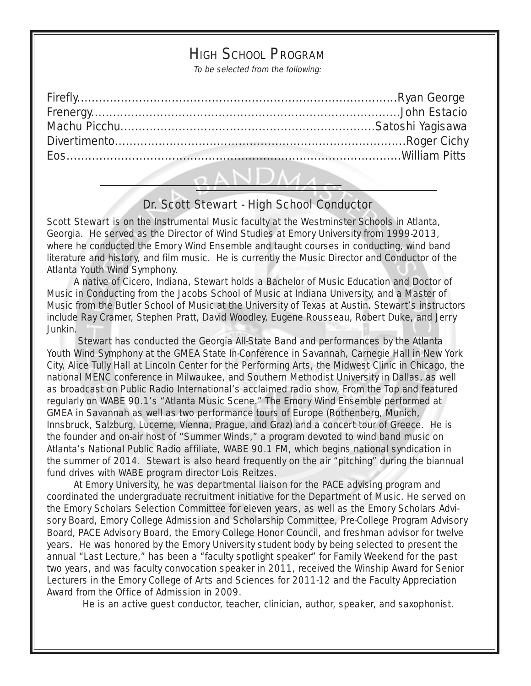## HIGH SCHOOL PROGRAM

To be selected from the following:

| the contract of the contract of the contract of the contract of the contract of |  |
|---------------------------------------------------------------------------------|--|

## Dr. Scott Stewart - High School Conductor

Scott Stewart is on the Instrumental Music faculty at the Westminster Schools in Atlanta, Georgia. He served as the Director of Wind Studies at Emory University from 1999-2013, where he conducted the Emory Wind Ensemble and taught courses in conducting, wind band literature and history, and film music. He is currently the Music Director and Conductor of the Atlanta Youth Wind Symphony.

 A native of Cicero, Indiana, Stewart holds a Bachelor of Music Education and Doctor of Music in Conducting from the Jacobs School of Music at Indiana University, and a Master of Music from the Butler School of Music at the University of Texas at Austin. Stewart's instructors include Ray Cramer, Stephen Pratt, David Woodley, Eugene Rousseau, Robert Duke, and Jerry Junkin.

Stewart has conducted the Georgia All-State Band and performances by the Atlanta Youth Wind Symphony at the GMEA State In-Conference in Savannah, Carnegie Hall in New York City, Alice Tully Hall at Lincoln Center for the Performing Arts, the Midwest Clinic in Chicago, the national MENC conference in Milwaukee, and Southern Methodist University in Dallas, as well as broadcast on Public Radio International's acclaimed radio show, From the Top and featured regularly on WABE 90.1's "Atlanta Music Scene." The Emory Wind Ensemble performed at GMEA in Savannah as well as two performance tours of Europe (Rothenberg, Munich, Innsbruck, Salzburg, Lucerne, Vienna, Prague, and Graz) and a concert tour of Greece. He is the founder and on-air host of "Summer Winds," a program devoted to wind band music on Atlanta's National Public Radio affiliate, WABE 90.1 FM, which begins national syndication in the summer of 2014. Stewart is also heard frequently on the air "pitching" during the biannual fund drives with WABE program director Lois Reitzes.

 At Emory University, he was departmental liaison for the PACE advising program and coordinated the undergraduate recruitment initiative for the Department of Music. He served on the Emory Scholars Selection Committee for eleven years, as well as the Emory Scholars Advisory Board, Emory College Admission and Scholarship Committee, Pre-College Program Advisory Board, PACE Advisory Board, the Emory College Honor Council, and freshman advisor for twelve years. He was honored by the Emory University student body by being selected to present the annual "Last Lecture," has been a "faculty spotlight speaker" for Family Weekend for the past two years, and was faculty convocation speaker in 2011, received the Winship Award for Senior Lecturers in the Emory College of Arts and Sciences for 2011-12 and the Faculty Appreciation Award from the Office of Admission in 2009.

He is an active guest conductor, teacher, clinician, author, speaker, and saxophonist.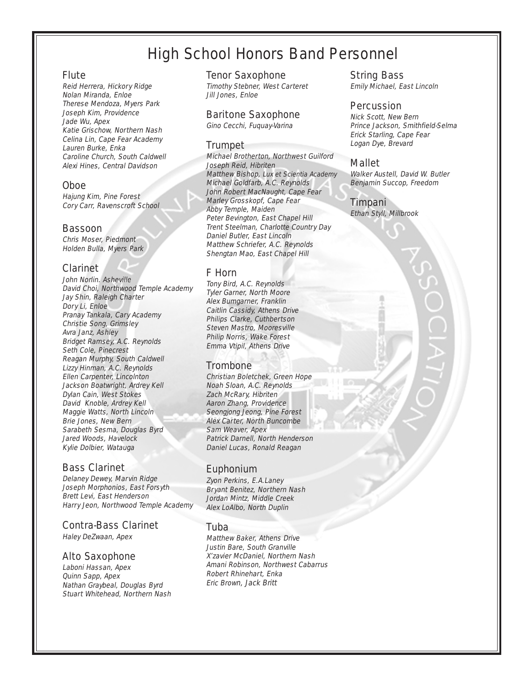## High School Honors Band Personnel

#### Flute

Reid Herrera, Hickory Ridge Nolan Miranda, Enloe Therese Mendoza, Myers Park Joseph Kim, Providence Jade Wu, Apex Katie Grischow, Northern Nash Celina Lin, Cape Fear Academy Lauren Burke, Enka Caroline Church, South Caldwell Alexi Hines, Central Davidson

#### Oboe

Hajung Kim, Pine Forest Cory Carr, Ravenscroft School

#### Bassoon

Chris Moser, Piedmont Holden Bulla, Myers Park

#### Clarinet

John Norlin. Asheville David Choi, Northwood Temple Academy Jay Shin, Raleigh Charter Dory Li, Enloe Pranay Tankala, Cary Academy Christie Song, Grimsley Avra Janz, Ashley Bridget Ramsey, A.C. Reynolds Seth Cole, Pinecrest Reagan Murphy, South Caldwell Lizzy Hinman, A.C. Reynolds Ellen Carpenter, Lincolnton Jackson Boatwright, Ardrey Kell Dylan Cain, West Stokes David Knoble, Ardrey Kell Maggie Watts, North Lincoln Brie Jones, New Bern Sarabeth Sesma, Douglas Byrd Jared Woods, Havelock Kylie Dolbier, Watauga

#### Bass Clarinet

Delaney Dewey, Marvin Ridge Joseph Morphonios, East Forsyth Brett Levi, East Henderson Harry Jeon, Northwood Temple Academy

#### Contra-Bass Clarinet

Haley DeZwaan, Apex

#### Alto Saxophone

Laboni Hassan, Apex Quinn Sapp, Apex Nathan Graybeal, Douglas Byrd Stuart Whitehead, Northern Nash

#### Tenor Saxophone

Timothy Stebner, West Carteret Jill Jones, Enloe

#### Baritone Saxophone

Gino Cecchi, Fuquay-Varina

#### Trumpet

Michael Brotherton, Northwest Guilford Joseph Reid, Hibriten Matthew Bishop, Lux et Scientia Academy Michael Goldfarb, A.C. Reynolds John Robert MacNaught, Cape Fear Marley Grosskopf, Cape Fear Abby Temple, Maiden Peter Bevington, East Chapel Hill Trent Steelman, Charlotte Country Day Daniel Butler, East Lincoln Matthew Schriefer, A.C. Reynolds Shengtan Mao, East Chapel Hill

#### F Horn

Tony Bird, A.C. Reynolds Tyler Garner, North Moore Alex Bumgarner, Franklin Caitlin Cassidy, Athens Drive Philips Clarke, Cuthbertson Steven Mastro, Mooresville Philip Norris, Wake Forest Emma Vtipil, Athens Drive

#### **Trombone**

Christian Boletchek, Green Hope Noah Sloan, A.C. Reynolds Zach McRary, Hibriten Aaron Zhang, Providence Seongjong Jeong, Pine Forest Alex Carter, North Buncombe Sam Weaver, Apex Patrick Darnell, North Henderson Daniel Lucas, Ronald Reagan

#### Euphonium

Zyon Perkins, E.A.Laney Bryant Benitez, Northern Nash Jordan Mintz, Middle Creek Alex LoAlbo, North Duplin

#### Tuba

Matthew Baker, Athens Drive Justin Bare, South Granville X'zavier McDaniel, Northern Nash Amani Robinson, Northwest Cabarrus Robert Rhinehart, Enka Eric Brown, Jack Britt

#### String Bass

Emily Michael, East Lincoln

#### Percussion

Nick Scott, New Bern Prince Jackson, Smithfield-Selma Erick Starling, Cape Fear Logan Dye, Brevard

#### Mallet

Walker Austell, David W. Butler Benjamin Succop, Freedom

#### Timpani

Ethan Styll, Millbrook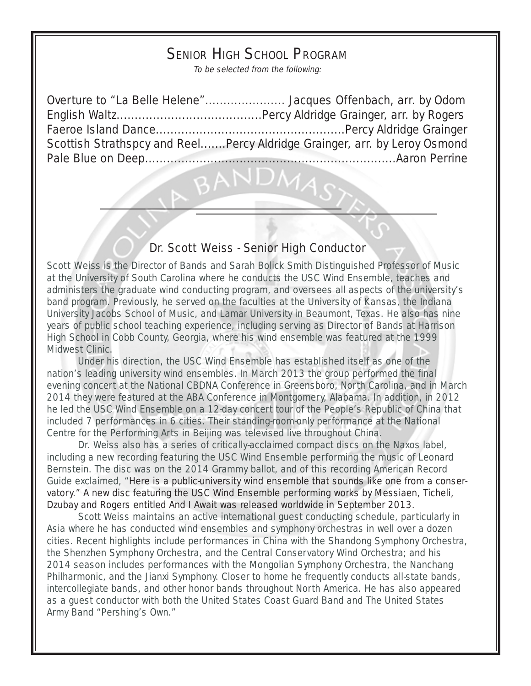## SENIOR HIGH SCHOOL PROGRAM

To be selected from the following:

Overture to "La Belle Helene"...................... Jacques Offenbach, arr. by Odom English Waltz........................................Percy Aldridge Grainger, arr. by Rogers Faeroe Island Dance....................................................Percy Aldridge Grainger Scottish Strathspcy and Reel.......Percy Aldridge Grainger, arr. by Leroy Osmond Pale Blue on Deep.....................................................................Aaron Perrine

#### Dr. Scott Weiss - Senior High Conductor

Scott Weiss is the Director of Bands and Sarah Bolick Smith Distinguished Professor of Music at the University of South Carolina where he conducts the USC Wind Ensemble, teaches and administers the graduate wind conducting program, and oversees all aspects of the university's band program. Previously, he served on the faculties at the University of Kansas, the Indiana University Jacobs School of Music, and Lamar University in Beaumont, Texas. He also has nine years of public school teaching experience, including serving as Director of Bands at Harrison High School in Cobb County, Georgia, where his wind ensemble was featured at the 1999 Midwest Clinic.

Under his direction, the USC Wind Ensemble has established itself as one of the nation's leading university wind ensembles. In March 2013 the group performed the final evening concert at the National CBDNA Conference in Greensboro, North Carolina, and in March 2014 they were featured at the ABA Conference in Montgomery, Alabama. In addition, in 2012 he led the USC Wind Ensemble on a 12-day concert tour of the People's Republic of China that included 7 performances in 6 cities. Their standing-room-only performance at the National Centre for the Performing Arts in Beijing was televised live throughout China.

Dr. Weiss also has a series of critically-acclaimed compact discs on the Naxos label, including a new recording featuring the USC Wind Ensemble performing the music of Leonard Bernstein. The disc was on the 2014 Grammy ballot, and of this recording American Record Guide exclaimed, "Here is a public-university wind ensemble that sounds like one from a conservatory." A new disc featuring the USC Wind Ensemble performing works by Messiaen, Ticheli, Dzubay and Rogers entitled And I Await was released worldwide in September 2013.

Scott Weiss maintains an active international guest conducting schedule, particularly in Asia where he has conducted wind ensembles and symphony orchestras in well over a dozen cities. Recent highlights include performances in China with the Shandong Symphony Orchestra, the Shenzhen Symphony Orchestra, and the Central Conservatory Wind Orchestra; and his 2014 season includes performances with the Mongolian Symphony Orchestra, the Nanchang Philharmonic, and the Jianxi Symphony. Closer to home he frequently conducts all-state bands, intercollegiate bands, and other honor bands throughout North America. He has also appeared as a guest conductor with both the United States Coast Guard Band and The United States Army Band "Pershing's Own."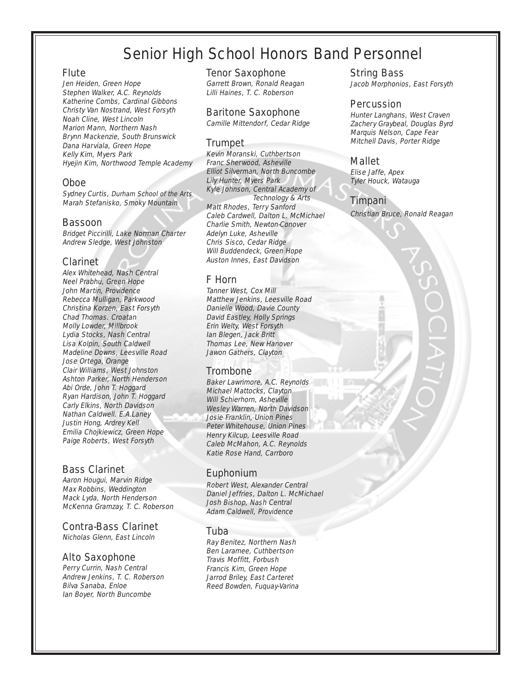## Senior High School Honors Band Personnel

#### Flute

Jen Heiden, Green Hope Stephen Walker, A.C. Reynolds Katherine Combs, Cardinal Gibbons Christy Van Nostrand, West Forsyth Noah Cline, West Lincoln Marion Mann, Northern Nash Brynn Mackenzie, South Brunswick Dana Harviala, Green Hope Kelly Kim, Myers Park Hyejin Kim, Northwood Temple Academy

#### Oboe

Sydney Curtis, Durham School of the Arts Marah Stefanisko, Smoky Mountain

#### Bassoon

Bridget Piccirilli, Lake Norman Charter Andrew Sledge, West Johnston

#### Clarinet

Alex Whitehead, Nash Central Neel Prabhu, Green Hope John Martin, Providence Rebecca Mulligan, Parkwood Christina Korzen, East Forsyth Chad Thomas. Croatan Molly Lowder, Millbrook Lydia Stocks, Nash Central Lisa Kolpin, South Caldwell Madeline Downs, Leesville Road Jose Ortega, Orange Clair Williams, West Johnston Ashton Parker, North Henderson Abi Orde, John T. Hoggard Ryan Hardison, John T. Hoggard Carly Elkins, North Davidson Nathan Caldwell. E.A.Laney Justin Hong, Ardrey Kell Emilia Chojkiewicz, Green Hope Paige Roberts, West Forsyth

#### Bass Clarinet

Aaron Hougui, Marvin Ridge Max Robbins, Weddington Mack Lyda, North Henderson McKenna Gramzay, T. C. Roberson

#### Contra-Bass Clarinet

Nicholas Glenn, East Lincoln

#### Alto Saxophone

Perry Currin, Nash Central Andrew Jenkins, T. C. Roberson Bilva Sanaba, Enloe Ian Boyer, North Buncombe

Tenor Saxophone

Garrett Brown, Ronald Reagan Lilli Haines, T. C. Roberson

#### Baritone Saxophone

Camille Mittendorf, Cedar Ridge

#### Trumpet

Kevin Moranski, Cuthbertson Franc Sherwood, Asheville Elliot Silverman, North Buncombe Lily Hunter, Myers Park Kyle Johnson, Central Academy of Technology & Arts Matt Rhodes, Terry Sanford Caleb Cardwell, Dalton L. McMichael Charlie Smith, Newton-Conover Adelyn Luke, Asheville Chris Sisco, Cedar Ridge Will Buddendeck, Green Hope Auston Innes, East Davidson

#### F Horn

Tanner West, Cox Mill Matthew Jenkins, Leesville Road Danielle Wood, Davie County David Eastley, Holly Springs Erin Welty, West Forsyth Ian Blegen, Jack Britt Thomas Lee, New Hanover Jawon Gathers, Clayton

#### **Trombone**

Baker Lawrimore, A.C. Reynolds Michael Mattocks, Clayton Will Schierhorn, Asheville Wesley Warren, North Davidson Josie Franklin, Union Pines Peter Whitehouse, Union Pines Henry Kilcup, Leesville Road Caleb McMahon, A.C. Reynolds Katie Rose Hand, Carrboro

#### Euphonium

Robert West, Alexander Central Daniel Jeffries, Dalton L. McMichael Josh Bishop, Nash Central Adam Caldwell, Providence

#### Tuba

Ray Benitez, Northern Nash Ben Laramee, Cuthbertson Travis Moffitt, Forbush Francis Kim, Green Hope Jarrod Briley, East Carteret Reed Bowden, Fuquay-Varina

#### String Bass

Jacob Morphonios, East Forsyth

#### Percussion

Hunter Langhans, West Craven Zachery Graybeal, Douglas Byrd Marquis Nelson, Cape Fear Mitchell Davis, Porter Ridge

#### Mallet

Elise Jaffe, Apex Tyler Houck, Watauga

#### Timpani

Christian Bruce, Ronald Reagan